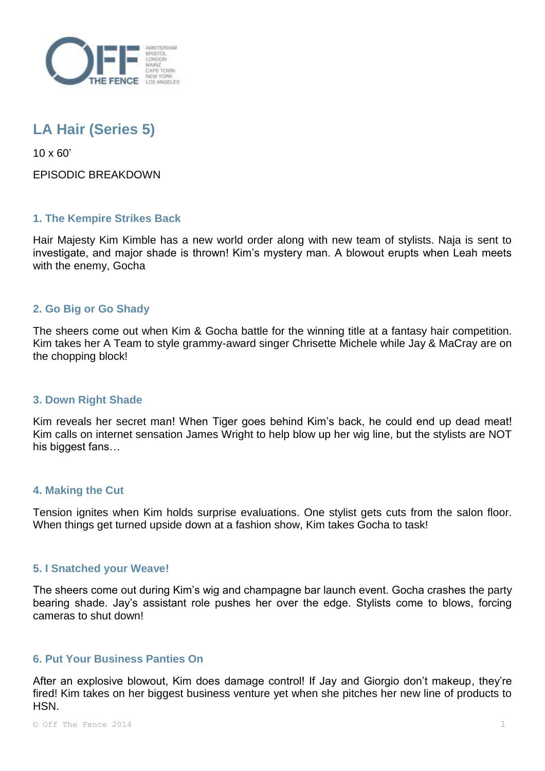

# **LA Hair (Series 5)**

10 x 60'

EPISODIC BREAKDOWN

## **1. The Kempire Strikes Back**

Hair Majesty Kim Kimble has a new world order along with new team of stylists. Naja is sent to investigate, and major shade is thrown! Kim's mystery man. A blowout erupts when Leah meets with the enemy, Gocha

## **2. Go Big or Go Shady**

The sheers come out when Kim & Gocha battle for the winning title at a fantasy hair competition. Kim takes her A Team to style grammy-award singer Chrisette Michele while Jay & MaCray are on the chopping block!

## **3. Down Right Shade**

Kim reveals her secret man! When Tiger goes behind Kim's back, he could end up dead meat! Kim calls on internet sensation James Wright to help blow up her wig line, but the stylists are NOT his biggest fans…

## **4. Making the Cut**

Tension ignites when Kim holds surprise evaluations. One stylist gets cuts from the salon floor. When things get turned upside down at a fashion show, Kim takes Gocha to task!

#### **5. I Snatched your Weave!**

The sheers come out during Kim's wig and champagne bar launch event. Gocha crashes the party bearing shade. Jay's assistant role pushes her over the edge. Stylists come to blows, forcing cameras to shut down!

#### **6. Put Your Business Panties On**

After an explosive blowout, Kim does damage control! If Jay and Giorgio don't makeup, they're fired! Kim takes on her biggest business venture yet when she pitches her new line of products to HSN.